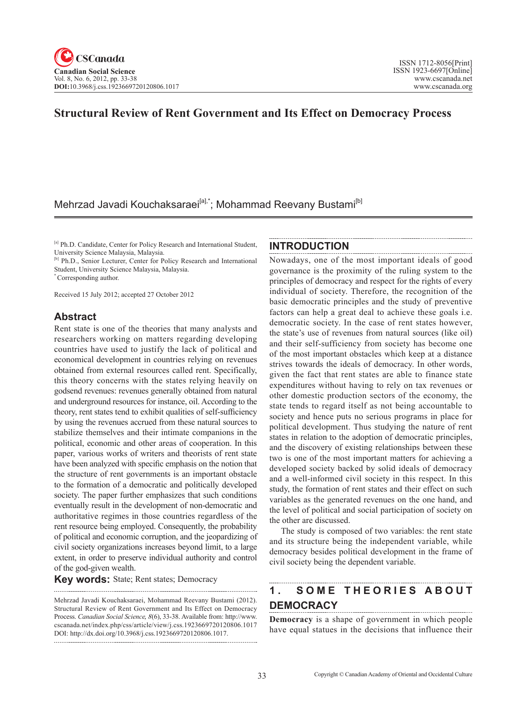# **Structural Review of Rent Government and Its Effect on Democracy Process**

# Mehrzad Javadi Kouchaksaraei<sup>[a],\*</sup>; Mohammad Reevany Bustami<sup>[b]</sup>

[a] Ph.D. Candidate, Center for Policy Research and International Student, University Science Malaysia, Malaysia.

[b] Ph.D., Senior Lecturer, Center for Policy Research and International Student, University Science Malaysia, Malaysia.

\* Corresponding author.

Received 15 July 2012; accepted 27 October 2012

## **Abstract**

Rent state is one of the theories that many analysts and researchers working on matters regarding developing countries have used to justify the lack of political and economical development in countries relying on revenues obtained from external resources called rent. Specifically, this theory concerns with the states relying heavily on godsend revenues: revenues generally obtained from natural and underground resources for instance, oil. According to the theory, rent states tend to exhibit qualities of self-sufficiency by using the revenues accrued from these natural sources to stabilize themselves and their intimate companions in the political, economic and other areas of cooperation. In this paper, various works of writers and theorists of rent state have been analyzed with specific emphasis on the notion that the structure of rent governments is an important obstacle to the formation of a democratic and politically developed society. The paper further emphasizes that such conditions eventually result in the development of non-democratic and authoritative regimes in those countries regardless of the rent resource being employed. Consequently, the probability of political and economic corruption, and the jeopardizing of civil society organizations increases beyond limit, to a large extent, in order to preserve individual authority and control of the god-given wealth.

**Key words:** State; Rent states; Democracy

#### **INTRODUCTION**

Nowadays, one of the most important ideals of good governance is the proximity of the ruling system to the principles of democracy and respect for the rights of every individual of society. Therefore, the recognition of the basic democratic principles and the study of preventive factors can help a great deal to achieve these goals i.e. democratic society. In the case of rent states however, the state's use of revenues from natural sources (like oil) and their self-sufficiency from society has become one of the most important obstacles which keep at a distance strives towards the ideals of democracy. In other words, given the fact that rent states are able to finance state expenditures without having to rely on tax revenues or other domestic production sectors of the economy, the state tends to regard itself as not being accountable to society and hence puts no serious programs in place for political development. Thus studying the nature of rent states in relation to the adoption of democratic principles, and the discovery of existing relationships between these two is one of the most important matters for achieving a developed society backed by solid ideals of democracy and a well-informed civil society in this respect. In this study, the formation of rent states and their effect on such variables as the generated revenues on the one hand, and the level of political and social participation of society on the other are discussed.

The study is composed of two variables: the rent state and its structure being the independent variable, while democracy besides political development in the frame of civil society being the dependent variable.

# **1 . S O M E T H E O R I E S A B O U T DEMOCRACY**

**Democracy** is a shape of government in which people have equal statues in the decisions that influence their

Mehrzad Javadi Kouchaksaraei, Mohammad Reevany Bustami (2012). Structural Review of Rent Government and Its Effect on Democracy Process. *Canadian Social Science*, <sup>8</sup>(6), 33-38. Available from: http://www. cscanada.net/index.php/css/article/view/j.css.1923669720120806.1017 DOI: http://dx.doi.org/10.3968/j.css.1923669720120806.1017.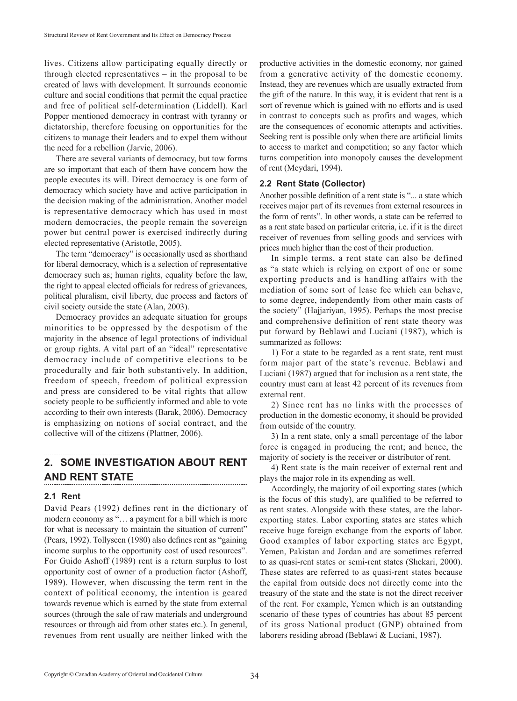lives. Citizens allow participating equally directly or through elected representatives – in the proposal to be created of laws with development. It surrounds economic culture and social conditions that permit the equal practice and free of political self-determination (Liddell). Karl Popper mentioned democracy in contrast with tyranny or dictatorship, therefore focusing on opportunities for the citizens to manage their leaders and to expel them without the need for a rebellion (Jarvie, 2006).

There are several variants of democracy, but tow forms are so important that each of them have concern how the people executes its will. Direct democracy is one form of democracy which society have and active participation in the decision making of the administration. Another model is representative democracy which has used in most modern democracies, the people remain the sovereign power but central power is exercised indirectly during elected representative (Aristotle, 2005).

The term "democracy" is occasionally used as shorthand for liberal democracy, which is a selection of representative democracy such as; human rights, equality before the law, the right to appeal elected officials for redress of grievances, political pluralism, civil liberty, due process and factors of civil society outside the state (Alan, 2003).

Democracy provides an adequate situation for groups minorities to be oppressed by the despotism of the majority in the absence of legal protections of individual or group rights. A vital part of an "ideal" representative democracy include of competitive elections to be procedurally and fair both substantively. In addition, freedom of speech, freedom of political expression and press are considered to be vital rights that allow society people to be sufficiently informed and able to vote according to their own interests (Barak, 2006). Democracy is emphasizing on notions of social contract, and the collective will of the citizens (Plattner, 2006).

#### **2. SOME INVESTIGATION ABOUT RENT AND RENT STATE**

#### **2.1 Rent**

David Pears (1992) defines rent in the dictionary of modern economy as "... a payment for a bill which is more for what is necessary to maintain the situation of current" (Pears, 1992). Tollyscen (1980) also defines rent as "gaining income surplus to the opportunity cost of used resources". For Guido Ashoff (1989) rent is a return surplus to lost opportunity cost of owner of a production factor (Ashoff, 1989). However, when discussing the term rent in the context of political economy, the intention is geared towards revenue which is earned by the state from external sources (through the sale of raw materials and underground resources or through aid from other states etc.). In general, revenues from rent usually are neither linked with the productive activities in the domestic economy, nor gained from a generative activity of the domestic economy. Instead, they are revenues which are usually extracted from the gift of the nature. In this way, it is evident that rent is a sort of revenue which is gained with no efforts and is used in contrast to concepts such as profits and wages, which are the consequences of economic attempts and activities. Seeking rent is possible only when there are artificial limits to access to market and competition; so any factor which turns competition into monopoly causes the development of rent (Meydari, 1994).

#### **2.2 Rent State (Collector)**

Another possible definition of a rent state is "... a state which receives major part of its revenues from external resources in the form of rents". In other words, a state can be referred to as a rent state based on particular criteria, i.e. if it is the direct receiver of revenues from selling goods and services with prices much higher than the cost of their production.

In simple terms, a rent state can also be defined as "a state which is relying on export of one or some exporting products and is handling affairs with the mediation of some sort of lease fee which can behave, to some degree, independently from other main casts of the society" (Hajjariyan, 1995). Perhaps the most precise and comprehensive definition of rent state theory was put forward by Beblawi and Luciani (1987), which is summarized as follows:

1) For a state to be regarded as a rent state, rent must form major part of the state's revenue. Beblawi and Luciani (1987) argued that for inclusion as a rent state, the country must earn at least 42 percent of its revenues from external rent.

2) Since rent has no links with the processes of production in the domestic economy, it should be provided from outside of the country.

3) In a rent state, only a small percentage of the labor force is engaged in producing the rent; and hence, the majority of society is the receiver or distributor of rent.

4) Rent state is the main receiver of external rent and plays the major role in its expending as well.

Accordingly, the majority of oil exporting states (which is the focus of this study), are qualified to be referred to as rent states. Alongside with these states, are the laborexporting states. Labor exporting states are states which receive huge foreign exchange from the exports of labor. Good examples of labor exporting states are Egypt, Yemen, Pakistan and Jordan and are sometimes referred to as quasi-rent states or semi-rent states (Shekari, 2000). These states are referred to as quasi-rent states because the capital from outside does not directly come into the treasury of the state and the state is not the direct receiver of the rent. For example, Yemen which is an outstanding scenario of these types of countries has about 85 percent of its gross National product (GNP) obtained from laborers residing abroad (Beblawi & Luciani, 1987).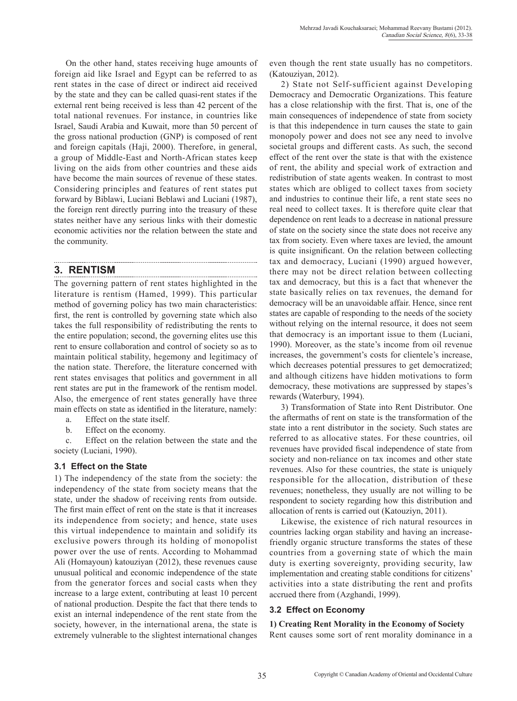On the other hand, states receiving huge amounts of foreign aid like Israel and Egypt can be referred to as rent states in the case of direct or indirect aid received by the state and they can be called quasi-rent states if the external rent being received is less than 42 percent of the total national revenues. For instance, in countries like Israel, Saudi Arabia and Kuwait, more than 50 percent of the gross national production (GNP) is composed of rent and foreign capitals (Haji, 2000). Therefore, in general, a group of Middle-East and North-African states keep living on the aids from other countries and these aids have become the main sources of revenue of these states. Considering principles and features of rent states put forward by Biblawi, Luciani Beblawi and Luciani (1987), the foreign rent directly purring into the treasury of these states neither have any serious links with their domestic economic activities nor the relation between the state and the community.

#### **3. RENTISM**

The governing pattern of rent states highlighted in the literature is rentism (Hamed, 1999). This particular method of governing policy has two main characteristics: first, the rent is controlled by governing state which also takes the full responsibility of redistributing the rents to the entire population; second, the governing elites use this rent to ensure collaboration and control of society so as to maintain political stability, hegemony and legitimacy of the nation state. Therefore, the literature concerned with rent states envisages that politics and government in all rent states are put in the framework of the rentism model. Also, the emergence of rent states generally have three main effects on state as identified in the literature, namely:

- a. Effect on the state itself.
- b. Effect on the economy.

c. Effect on the relation between the state and the society (Luciani, 1990).

### **3.1 Effect on the State**

1) The independency of the state from the society: the independency of the state from society means that the state, under the shadow of receiving rents from outside. The first main effect of rent on the state is that it increases its independence from society; and hence, state uses this virtual independence to maintain and solidify its exclusive powers through its holding of monopolist power over the use of rents. According to Mohammad Ali (Homayoun) katouziyan (2012), these revenues cause unusual political and economic independence of the state from the generator forces and social casts when they increase to a large extent, contributing at least 10 percent of national production. Despite the fact that there tends to exist an internal independence of the rent state from the society, however, in the international arena, the state is extremely vulnerable to the slightest international changes even though the rent state usually has no competitors. (Katouziyan, 2012).

2) State not Self-sufficient against Developing Democracy and Democratic Organizations. This feature has a close relationship with the first. That is, one of the main consequences of independence of state from society is that this independence in turn causes the state to gain monopoly power and does not see any need to involve societal groups and different casts. As such, the second effect of the rent over the state is that with the existence of rent, the ability and special work of extraction and redistribution of state agents weaken. In contrast to most states which are obliged to collect taxes from society and industries to continue their life, a rent state sees no real need to collect taxes. It is therefore quite clear that dependence on rent leads to a decrease in national pressure of state on the society since the state does not receive any tax from society. Even where taxes are levied, the amount is quite insignificant. On the relation between collecting tax and democracy, Luciani (1990) argued however, there may not be direct relation between collecting tax and democracy, but this is a fact that whenever the state basically relies on tax revenues, the demand for democracy will be an unavoidable affair. Hence, since rent states are capable of responding to the needs of the society without relying on the internal resource, it does not seem that democracy is an important issue to them (Luciani, 1990). Moreover, as the state's income from oil revenue increases, the government's costs for clientele's increase, which decreases potential pressures to get democratized; and although citizens have hidden motivations to form democracy, these motivations are suppressed by stapes's rewards (Waterbury, 1994).

3) Transformation of State into Rent Distributor. One the aftermaths of rent on state is the transformation of the state into a rent distributor in the society. Such states are referred to as allocative states. For these countries, oil revenues have provided fiscal independence of state from society and non-reliance on tax incomes and other state revenues. Also for these countries, the state is uniquely responsible for the allocation, distribution of these revenues; nonetheless, they usually are not willing to be respondent to society regarding how this distribution and allocation of rents is carried out (Katouziyn, 2011).

Likewise, the existence of rich natural resources in countries lacking organ stability and having an increasefriendly organic structure transforms the states of these countries from a governing state of which the main duty is exerting sovereignty, providing security, law implementation and creating stable conditions for citizens' activities into a state distributing the rent and profits accrued there from (Azghandi, 1999).

### **3.2 Effect on Economy**

**1) Creating Rent Morality in the Economy of Society** Rent causes some sort of rent morality dominance in a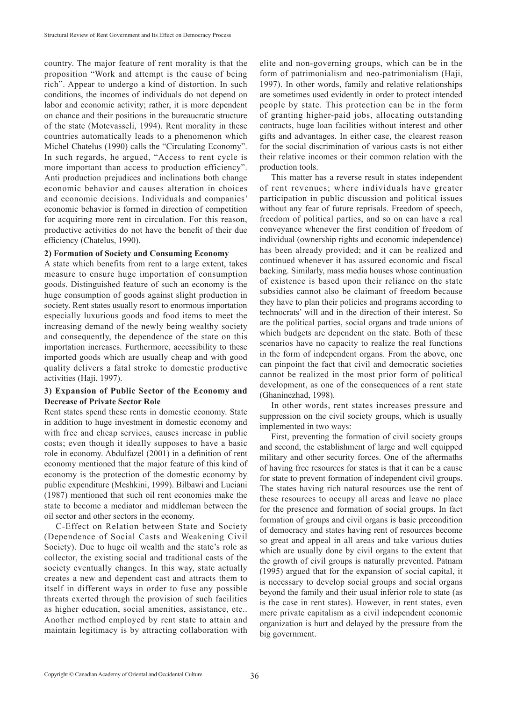country. The major feature of rent morality is that the proposition "Work and attempt is the cause of being rich". Appear to undergo a kind of distortion. In such conditions, the incomes of individuals do not depend on labor and economic activity; rather, it is more dependent on chance and their positions in the bureaucratic structure of the state (Motevasseli, 1994). Rent morality in these countries automatically leads to a phenomenon which Michel Chatelus (1990) calls the "Circulating Economy". In such regards, he argued, "Access to rent cycle is more important than access to production efficiency". Anti production prejudices and inclinations both change economic behavior and causes alteration in choices and economic decisions. Individuals and companies' economic behavior is formed in direction of competition for acquiring more rent in circulation. For this reason, productive activities do not have the benefit of their due efficiency (Chatelus, 1990).

#### **2) Formation of Society and Consuming Economy**

A state which benefits from rent to a large extent, takes measure to ensure huge importation of consumption goods. Distinguished feature of such an economy is the huge consumption of goods against slight production in society. Rent states usually resort to enormous importation especially luxurious goods and food items to meet the increasing demand of the newly being wealthy society and consequently, the dependence of the state on this importation increases. Furthermore, accessibility to these imported goods which are usually cheap and with good quality delivers a fatal stroke to domestic productive activities (Haji, 1997).

### **3) Expansion of Public Sector of the Economy and Decrease of Private Sector Role**

Rent states spend these rents in domestic economy. State in addition to huge investment in domestic economy and with free and cheap services, causes increase in public costs; even though it ideally supposes to have a basic role in economy. Abdulfazel (2001) in a definition of rent economy mentioned that the major feature of this kind of economy is the protection of the domestic economy by public expenditure (Meshkini, 1999). Bilbawi and Luciani (1987) mentioned that such oil rent economies make the state to become a mediator and middleman between the oil sector and other sectors in the economy.

C-Effect on Relation between State and Society (Dependence of Social Casts and Weakening Civil Society). Due to huge oil wealth and the state's role as collector, the existing social and traditional casts of the society eventually changes. In this way, state actually creates a new and dependent cast and attracts them to itself in different ways in order to fuse any possible threats exerted through the provision of such facilities as higher education, social amenities, assistance, etc.. Another method employed by rent state to attain and maintain legitimacy is by attracting collaboration with elite and non-governing groups, which can be in the form of patrimonialism and neo-patrimonialism (Haji, 1997). In other words, family and relative relationships are sometimes used evidently in order to protect intended people by state. This protection can be in the form of granting higher-paid jobs, allocating outstanding contracts, huge loan facilities without interest and other gifts and advantages. In either case, the clearest reason for the social discrimination of various casts is not either their relative incomes or their common relation with the production tools.

This matter has a reverse result in states independent of rent revenues; where individuals have greater participation in public discussion and political issues without any fear of future reprisals. Freedom of speech, freedom of political parties, and so on can have a real conveyance whenever the first condition of freedom of individual (ownership rights and economic independence) has been already provided; and it can be realized and continued whenever it has assured economic and fiscal backing. Similarly, mass media houses whose continuation of existence is based upon their reliance on the state subsidies cannot also be claimant of freedom because they have to plan their policies and programs according to technocrats' will and in the direction of their interest. So are the political parties, social organs and trade unions of which budgets are dependent on the state. Both of these scenarios have no capacity to realize the real functions in the form of independent organs. From the above, one can pinpoint the fact that civil and democratic societies cannot be realized in the most prior form of political development, as one of the consequences of a rent state (Ghaninezhad, 1998).

In other words, rent states increases pressure and suppression on the civil society groups, which is usually implemented in two ways:

First, preventing the formation of civil society groups and second, the establishment of large and well equipped military and other security forces. One of the aftermaths of having free resources for states is that it can be a cause for state to prevent formation of independent civil groups. The states having rich natural resources use the rent of these resources to occupy all areas and leave no place for the presence and formation of social groups. In fact formation of groups and civil organs is basic precondition of democracy and states having rent of resources become so great and appeal in all areas and take various duties which are usually done by civil organs to the extent that the growth of civil groups is naturally prevented. Patnam (1995) argued that for the expansion of social capital, it is necessary to develop social groups and social organs beyond the family and their usual inferior role to state (as is the case in rent states). However, in rent states, even mere private capitalism as a civil independent economic organization is hurt and delayed by the pressure from the big government.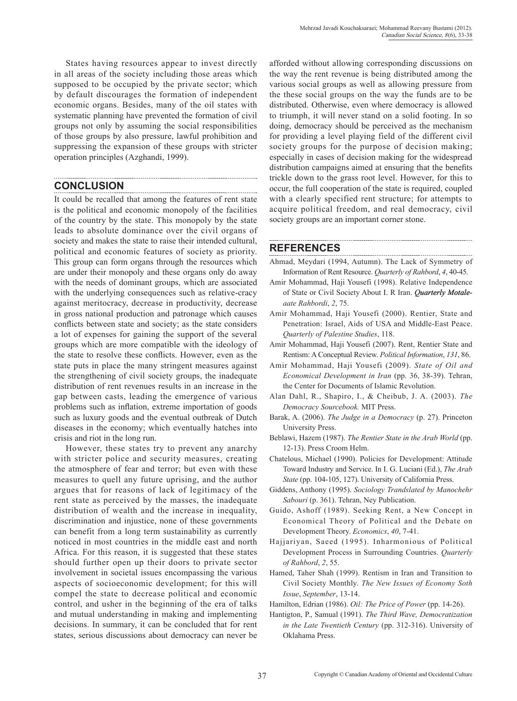States having resources appear to invest directly in all areas of the society including those areas which supposed to be occupied by the private sector; which by default discourages the formation of independent economic organs. Besides, many of the oil states with systematic planning have prevented the formation of civil groups not only by assuming the social responsibilities of those groups by also pressure, lawful prohibition and suppressing the expansion of these groups with stricter operation principles (Azghandi, 1999).

## **CONCLUSION**

It could be recalled that among the features of rent state is the political and economic monopoly of the facilities of the country by the state. This monopoly by the state leads to absolute dominance over the civil organs of society and makes the state to raise their intended cultural, political and economic features of society as priority. This group can form organs through the resources which are under their monopoly and these organs only do away with the needs of dominant groups, which are associated with the underlying consequences such as relative-cracy against meritocracy, decrease in productivity, decrease in gross national production and patronage which causes conflicts between state and society; as the state considers a lot of expenses for gaining the support of the several groups which are more compatible with the ideology of the state to resolve these conflicts. However, even as the state puts in place the many stringent measures against the strengthening of civil society groups, the inadequate distribution of rent revenues results in an increase in the gap between casts, leading the emergence of various problems such as inflation, extreme importation of goods such as luxury goods and the eventual outbreak of Dutch diseases in the economy; which eventually hatches into crisis and riot in the long run.

However, these states try to prevent any anarchy with stricter police and security measures, creating the atmosphere of fear and terror; but even with these measures to quell any future uprising, and the author argues that for reasons of lack of legitimacy of the rent state as perceived by the masses, the inadequate distribution of wealth and the increase in inequality, discrimination and injustice, none of these governments can benefit from a long term sustainability as currently noticed in most countries in the middle east and north Africa. For this reason, it is suggested that these states should further open up their doors to private sector involvement in societal issues encompassing the various aspects of socioeconomic development; for this will compel the state to decrease political and economic control, and usher in the beginning of the era of talks and mutual understanding in making and implementing decisions. In summary, it can be concluded that for rent states, serious discussions about democracy can never be afforded without allowing corresponding discussions on the way the rent revenue is being distributed among the various social groups as well as allowing pressure from the these social groups on the way the funds are to be distributed. Otherwise, even where democracy is allowed to triumph, it will never stand on a solid footing. In so doing, democracy should be perceived as the mechanism for providing a level playing field of the different civil society groups for the purpose of decision making; especially in cases of decision making for the widespread distribution campaigns aimed at ensuring that the benefits trickle down to the grass root level. However, for this to occur, the full cooperation of the state is required, coupled with a clearly specified rent structure; for attempts to acquire political freedom, and real democracy, civil society groups are an important corner stone.

## **REFERENCES**

- Ahmad, Meydari (1994, Autumn). The Lack of Symmetry of Information of Rent Resource. *Quarterly of Rahbord*, *4*, 40-45.
- Amir Mohammad, Haji Yousefi (1998). Relative Independence of State or Civil Society About I. R Iran. *Quarterly Motaleaate Rahbordi*, *2*, 75.
- Amir Mohammad, Haji Yousefi (2000). Rentier, State and Penetration: Israel, Aids of USA and Middle-East Peace. *Quarterly of Palestine Studies*, 118.
- Amir Mohammad, Haji Yousefi (2007). Rent, Rentier State and Rentism: A Conceptual Review. *Political Information*, *131*, 86.
- Amir Mohammad, Haji Yousefi (2009). *State of Oil and Economical Development in Iran* (pp. 36, 38-39). Tehran, the Center for Documents of Islamic Revolution.
- Alan Dahl, R., Shapiro, I., & Cheibub, J. A. (2003). *The Democracy Sourcebook.* MIT Press.
- Barak, A. (2006). *The Judge in a Democracy* (p. 27). Princeton University Press.
- Beblawi, Hazem (1987). *The Rentier State in the Arab World* (pp. 12-13). Press Croom Helm.
- Chatelous, Michael (1990). Policies for Development: Attitude Toward Industry and Service. In I. G. Luciani (Ed.), *The Arab State* (pp. 104-105, 127). University of California Press.
- Giddens, Anthony (1995). *Sociology Trandslated by Manochehr Sabouri* (p. 361). Tehran, Ney Publication.
- Guido, Ashoff (1989). Seeking Rent, a New Concept in Economical Theory of Political and the Debate on Development Theory. *Economics*, *40*, 7-41.
- Hajjariyan, Saeed (1995). Inharmonious of Political Development Process in Surrounding Countries. *Quarterly of Rahbord*, *2*, 55.
- Hamed, Taher Shah (1999). Rentism in Iran and Transition to Civil Society Monthly. *The New Issues of Economy Soth Issue*, *September*, 13-14.
- Hamilton, Edrian (1986). *Oil: The Price of Power* (pp. 14-26).
- Hantigton, P., Samual (1991). *The Third Wave, Democratization in the Late Twentieth Century* (pp. 312-316). University of Oklahama Press.